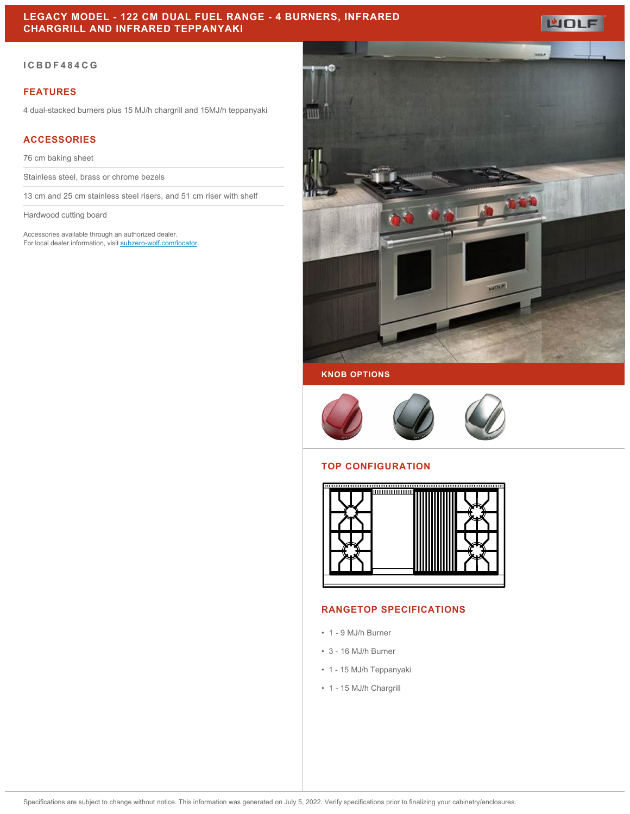# **LEGACY MODEL - 122 CM DUAL FUEL RANGE - 4 BURNERS, INFRARED CHARGRILL AND INFRARED TEPPANYAKI**



### **FEATURES**

4 dual-stacked burners plus 15 MJ/h chargrill and 15MJ/h teppanyaki

## **ACCESSORIES**

76 cm baking sheet

Stainless steel, brass or chrome bezels

13 cm and 25 cm stainless steel risers, and 51 cm riser with shelf

Hardwood cutting board

Accessories available through an authorized dealer. For local dealer information, visit [subzero-wolf.com/locator.](http://www.subzero-wolf.com/locator)



**WOLF** 

**KNOB OPTIONS**



#### **TOP CONFIGURATION**



#### **RANGETOP SPECIFICATIONS**

- 1 9 MJ/h Burner
- 3 16 MJ/h Burner
- 1 15 MJ/h Teppanyaki
- 1 15 MJ/h Chargrill